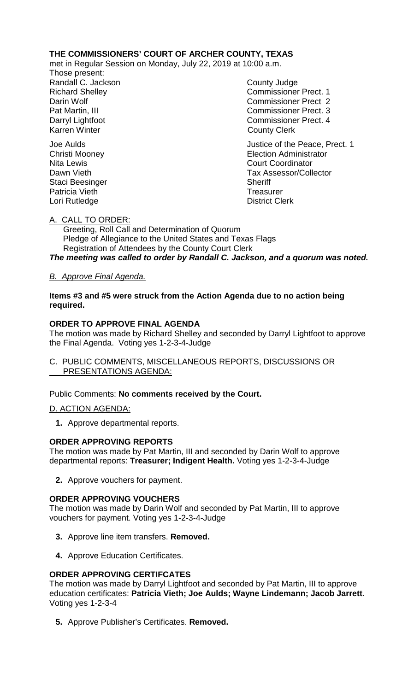# **THE COMMISSIONERS' COURT OF ARCHER COUNTY, TEXAS**

met in Regular Session on Monday, July 22, 2019 at 10:00 a.m.

Those present: Randall C. Jackson County Judge

Richard Shelley **Commissioner Prect. 1** Darin Wolf Commissioner Prect 2 Pat Martin, III Commissioner Prect. 3 Darryl Lightfoot **Commissioner Prect. 4**<br>
Karren Winter **County County Clerk County Clerk** 

Joe Aulds<br>
Christi Mooney<br>
Christi Mooney<br>
Christi Mooney **Election Administrator** Nita Lewis **Court Coordinator** Court Coordinator Dawn Vieth **Tax Assessor/Collector** Staci Beesinger Sheriff Patricia Vieth Treasurer Lori Rutledge **District Clerk** 

# A. CALL TO ORDER:

 Greeting, Roll Call and Determination of Quorum Pledge of Allegiance to the United States and Texas Flags Registration of Attendees by the County Court Clerk

*The meeting was called to order by Randall C. Jackson, and a quorum was noted.*

# *B. Approve Final Agenda.*

### **Items #3 and #5 were struck from the Action Agenda due to no action being required.**

# **ORDER TO APPROVE FINAL AGENDA**

The motion was made by Richard Shelley and seconded by Darryl Lightfoot to approve the Final Agenda. Voting yes 1-2-3-4-Judge

# C. PUBLIC COMMENTS, MISCELLANEOUS REPORTS, DISCUSSIONS OR PRESENTATIONS AGENDA:

Public Comments: **No comments received by the Court.**

### D. ACTION AGENDA:

**1.** Approve departmental reports.

### **ORDER APPROVING REPORTS**

The motion was made by Pat Martin, III and seconded by Darin Wolf to approve departmental reports: **Treasurer; Indigent Health.** Voting yes 1-2-3-4-Judge

**2.** Approve vouchers for payment.

# **ORDER APPROVING VOUCHERS**

The motion was made by Darin Wolf and seconded by Pat Martin, III to approve vouchers for payment. Voting yes 1-2-3-4-Judge

- **3.** Approve line item transfers. **Removed.**
- **4.** Approve Education Certificates.

### **ORDER APPROVING CERTIFCATES**

The motion was made by Darryl Lightfoot and seconded by Pat Martin, III to approve education certificates: **Patricia Vieth; Joe Aulds; Wayne Lindemann; Jacob Jarrett**. Voting yes 1-2-3-4

**5.** Approve Publisher's Certificates. **Removed.**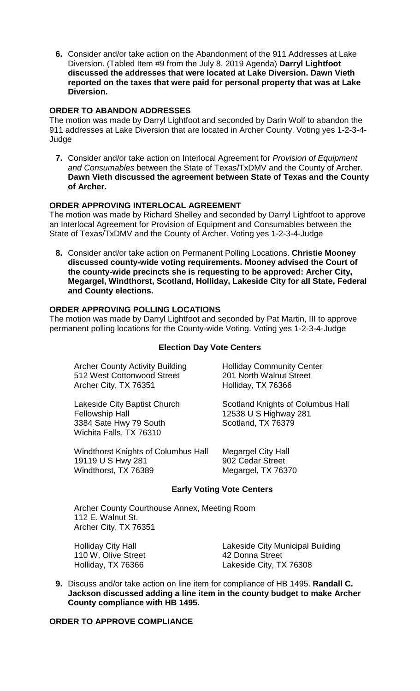**6.** Consider and/or take action on the Abandonment of the 911 Addresses at Lake Diversion. (Tabled Item #9 from the July 8, 2019 Agenda) **Darryl Lightfoot discussed the addresses that were located at Lake Diversion. Dawn Vieth reported on the taxes that were paid for personal property that was at Lake Diversion.**

# **ORDER TO ABANDON ADDRESSES**

The motion was made by Darryl Lightfoot and seconded by Darin Wolf to abandon the 911 addresses at Lake Diversion that are located in Archer County. Voting yes 1-2-3-4- Judge

**7.** Consider and/or take action on Interlocal Agreement for *Provision of Equipment and Consumables* between the State of Texas/TxDMV and the County of Archer. **Dawn Vieth discussed the agreement between State of Texas and the County of Archer.**

# **ORDER APPROVING INTERLOCAL AGREEMENT**

The motion was made by Richard Shelley and seconded by Darryl Lightfoot to approve an Interlocal Agreement for Provision of Equipment and Consumables between the State of Texas/TxDMV and the County of Archer. Voting yes 1-2-3-4-Judge

**8.** Consider and/or take action on Permanent Polling Locations. **Christie Mooney discussed county-wide voting requirements. Mooney advised the Court of the county-wide precincts she is requesting to be approved: Archer City, Megargel, Windthorst, Scotland, Holliday, Lakeside City for all State, Federal and County elections.**

### **ORDER APPROVING POLLING LOCATIONS**

The motion was made by Darryl Lightfoot and seconded by Pat Martin, III to approve permanent polling locations for the County-wide Voting. Voting yes 1-2-3-4-Judge

### **Election Day Vote Centers**

Archer County Activity Building Holliday Community Center 512 West Cottonwood Street 201 North Walnut Street Archer City, TX 76351 Holliday, TX 76366

Fellowship Hall 12538 U S Highway 281<br>3384 Sate Hwy 79 South 5 Scotland, TX 76379 3384 Sate Hwy 79 South Wichita Falls, TX 76310

Windthorst Knights of Columbus Hall Megargel City Hall 19119 U S Hwy 281 902 Cedar Street Windthorst, TX 76389 Megargel, TX 76370

Lakeside City Baptist Church Scotland Knights of Columbus Hall

### **Early Voting Vote Centers**

Archer County Courthouse Annex, Meeting Room 112 E. Walnut St. Archer City, TX 76351

110 W. Olive Street

Holliday City Hall **Hall Communist City Municipal Building**<br>110 W. Olive Street **Lakeside City Municipal Building** Holliday, TX 76366 Lakeside City, TX 76308

**9.** Discuss and/or take action on line item for compliance of HB 1495. **Randall C. Jackson discussed adding a line item in the county budget to make Archer County compliance with HB 1495.** 

# **ORDER TO APPROVE COMPLIANCE**